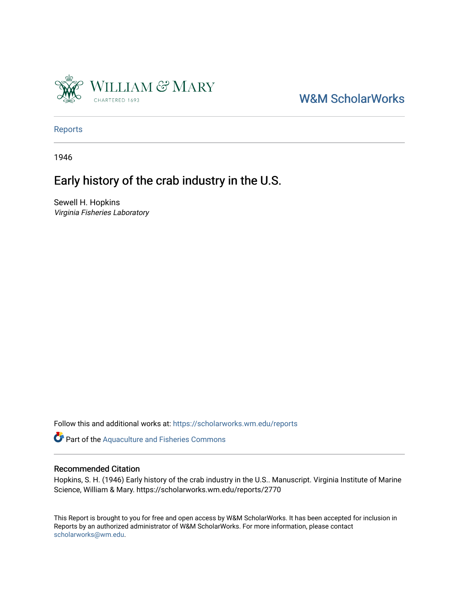

# [W&M ScholarWorks](https://scholarworks.wm.edu/)

[Reports](https://scholarworks.wm.edu/reports)

1946

# Early history of the crab industry in the U.S.

Sewell H. Hopkins Virginia Fisheries Laboratory

Follow this and additional works at: [https://scholarworks.wm.edu/reports](https://scholarworks.wm.edu/reports?utm_source=scholarworks.wm.edu%2Freports%2F2770&utm_medium=PDF&utm_campaign=PDFCoverPages)

Part of the [Aquaculture and Fisheries Commons](https://network.bepress.com/hgg/discipline/78?utm_source=scholarworks.wm.edu%2Freports%2F2770&utm_medium=PDF&utm_campaign=PDFCoverPages)

## Recommended Citation

Hopkins, S. H. (1946) Early history of the crab industry in the U.S.. Manuscript. Virginia Institute of Marine Science, William & Mary. https://scholarworks.wm.edu/reports/2770

This Report is brought to you for free and open access by W&M ScholarWorks. It has been accepted for inclusion in Reports by an authorized administrator of W&M ScholarWorks. For more information, please contact [scholarworks@wm.edu.](mailto:scholarworks@wm.edu)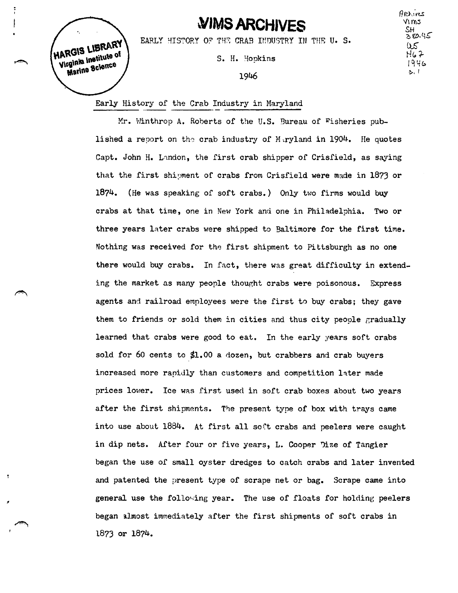# **~IMS ARCHIVES**

 $A$  $O$ ,  $veS$ Yims<br>SH  $30.45$ ()\$  $H67$  $1946$ **C-,** I

HARGIS LIBRARY Virginia institute of Marine Science

EARLY HISTORY OF THE CRAB INDUSTRY IN THE U. S.

S. H. Hopkins

1946

## **Early** History of the Crab Industry in Maryland

Mr. Winthrop A. Roberts of the U.S. Bureau of Fisheries published a report on the crab industry of M ryland in 1904. He quotes Capt. John H. Landon, the first crab shipper of Crisfield, as saying that the first shipment of crabs from Crisfield were made in 1873 or 1874. (He was speaking of soft crabs.) Only two firms would buy crabs at that time, one in New York and one in Philadelphia. Two or three years later crabs were shipped to Baltimore for the first time. Nothing was received for the first shipment to Pittsburgh as no one there would buy crabs. In fact, there was great difficulty in extending the market as many people thought crabs were poisonous. Express agents and railroad employees were the first to buy crabs; they gave them to friends or sold them in cities and thus city people gradually learned that crabs were good to eat. In the early years soft crabs sold for 60 cents to \$1.00 a dozen, but crabbers and crab buyers increased more rapidly than customers and competition later made prices lower. Ice was first used in soft crab boxes about two years after the first shipments. The present type of box with trays came into use about 1884. At first all soft crabs and peelers were caught in dip nets. After four or five years, L. Cooper 1ize *of* Tangier began the use of small oyster dredges to catch crabs and later invented and patented the present type of scrape net or bag. Scrape came into general use the following year. The use of floats for holding peelers began almost immediately after the first shipments of soft crabs in 1873 or 1874.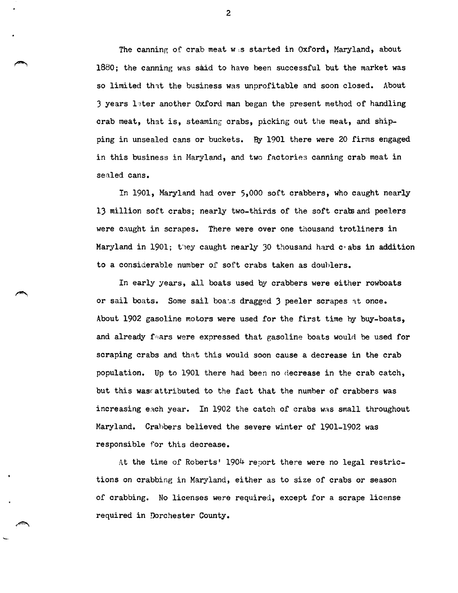The canning of crab meat w,s started in Oxford, Maryland, about 1880; the canning was said to have been successful but the market was so limited that the business was unprofitable and soon closed. About  $3$  years later another Oxford man began the present method of handling crab meat, that is, steaming crabs, picking out the meat, and shipping in unsealed cans or buckets. By 1901 there were 20 firms engaged in this business in Maryland, and two factories canning crab meat in sealed cans.

In 1901, Maryland had over 5,000 sort crabbers, who caught nearly 13 million soft crabs; nearly two-thirds of the soft crabs and peelers were caught in scrapes. There were over one thousand trotliners in Maryland in 1901; they caught nearly 30 thousand hard chabs in addition to a considerable number of soft crabs taken as doublers.

In early years, all boats used by crabbers were either rowboats or sail boats. Some sail boats dragged 3 peeler scrapes at once. About 1902 gasoline motors were used for the first time by buy-boats, and already f-ars were expressed that gasoline boats would be used for scraping crabs and that this would soon cause a decrease in the crab population. Up to 1901 there had been no ciecrease in the crab catch, but this wasrattributed to the fact that the number of crabbers was increasing each year. In 1902 the catch of crabs was small throughout Maryland. Crahbers believed the severe winter *of* 1901-1902 was responsible for this decrease.

At the time of Roberts' 1904 report there were no legal restrictions on crabbing in Maryland, either as to size of crabs or season of crabbing. No licenses were required, except for a scrape license required in Dorchester County.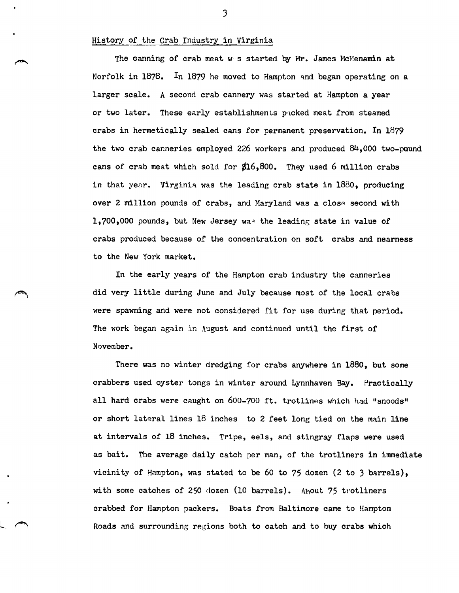### History of the Crab Industry in Virginia

The canning of crab meat w s started by Mr. James McMenamin at Norfolk in 1878. In 1879 he moved to Hampton and began operating on a larger scale. A second crab cannery was started at Hampton a year or two later. These early establishments packed meat from steamed crabs in hermetically sealed cans for permanent preservation. In 1879 the two crab canneries employed 226 workers and produced 84,000 two-pound cans of crab meat which sold for  $$16,800$ . They used 6 million crabs in that year. Virginia was the leading crab state in  $1880$ , producing over 2 million pounds of crabs, and Maryland was a close second with 1,700,000 pounds, but New Jersey was the leading state in value of crabs produced because of the concentration on soft crabs and nearness to the New York market.

In the early years of the Hampton crab industry the canneries did very little during June and July because most of the local crabs were spawning and were not considered fit for use during that period. The work began again in August and continued until the first of November.

There was no winter dredging for crabs anywhere in 1880, but some crabbers used oyster tongs in winter around Lynnhaven Bay. Practically all hard crabs were caught on  $600-700$  ft. trotlines which had "snoods" or short lateral lines 18 inches to 2 feet long tied on the main line at intervals of 18 inches. Tripe, eels, and stingray flaps were used as bait. The average daily catch per man, of the trotliners in immediate vicinity of Hampton, was stated to be 60 to 75 dozen (2 to 3 barrels), with some catches of 250 dozen (10 barrels). About 75 trotliners crabbed for Hampton packers. Boats from Baltimore came to Hampton Roads and surrounding regions both to catch and to buy crabs which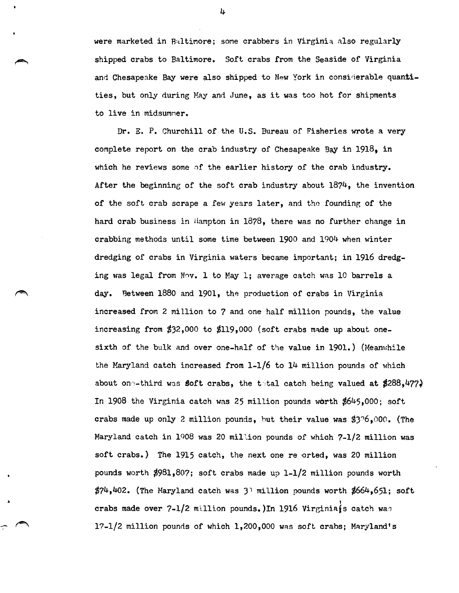were marketed in Baltimore; some crabbers in Virginia also regularly shipped crabs to Baltimore. Soft crabs from the Seaside of Virginia and Chesapeake Bay were also shipped to New York in considerable quantities, but only during May and June, as it was too hot for shipments to live in midsummer.

Dr. E. P. Churchill of the U.S. Bureau of Fisheries wrote a very complete report on the crab industry of Chesapeake Bay in 1918, in which he reviews some of the earlier history of the crab industry. After the beginning of the soft crab industry about  $1874$ , the invention of the soft crab scrape a few years later, and the foundinp, of the hard crab business in Hampton in 1878, there was no further change in crabbing methods until some time between 1900 and 1904 when winter dredging of crabs in Virginia waters became important; in 1916 dredging was legal from Nov. 1 to May 1; average catch was 10 barrels a day. Between 1880 and 1901, the production of crabs in Virginia increased from 2 million to 7 and one half million pounds, the value increasing from  $$32,000$  to  $$119,000$  (soft crabs made up about onesixth of the bulk and over one-half of the value in  $1901$ .) (Meanwhile the Maryland catch increased from 1-1/6 to 14 million pounds of which about one-third was **soft crabs, the t**otal catch being valued at  $$288,477$ . In 1908 the Virginia catch was 25 million pounds worth  $$645,000$ ; soft crabs made up only 2 million pounds, but their value was  $$3\degree\text{6.000}$ . (The Maryland catch in 1908 was 20 mill.ion pounds of which 7-1/2 million was soft crabs.) The 1915 catch, the next one re orted, was 20 million pounds worth \$981,807; soft crabs made up 1-1/2 million pounds worth  $$74,402$ . (The Maryland catch was 3) million pounds worth  $$664.651$ ; soft crabs made over 7-1/2 million pounds. In 1916 Virginia s catch was 17-1/2 million pounds of which 1,200,000 was soft crabs; Maryland's

4

•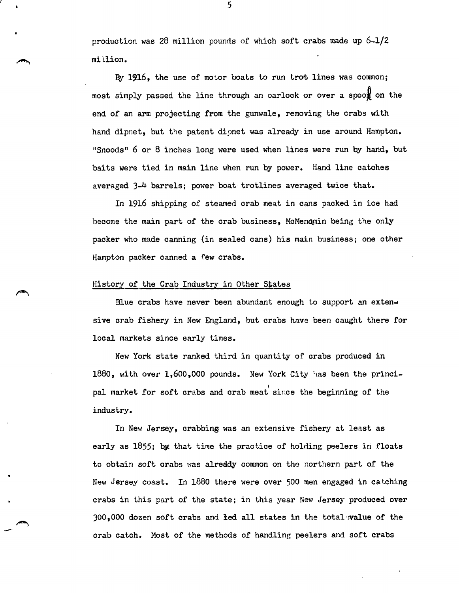production was 28 million pounds of which soft crabs made up 6-1/2 million.

By  $1916$ , the use of motor boats to run trot lines was common; most simply passed the line through an oarlock or over a spoon on the end of an arm projecting from the gunwale, removing the crabs with hand dipnet, but the patent dionet was already in use around Hampton. "Snoods" 6 or 8 inches long were used when lines were run by hand, but baits were tied in main line when run by power. Hand line catches averaged 3-4 barrels; power boat trotlines averaged twice that.

In 1916 shipping of steamed crab meat in cans packed in ice had become the main part of the crab business, McMenqmin being the only packer who made canning (in sealed cans} his main business; one other Hampton packer canned a few crabs.

#### History of the Crab Industry in Other States

--

Blue crabs have never been abundant enough to support an extensive crab fishery in New England, but crabs have been caught there for local markets since early times.

New York state ranked third in quantity of crabs produced in 1880, with over 1,600,000 pounds. New York City has been the principal market for soft crabs and crab meat since the beginning of the industry.

In New Jersey, crabbing was an extensive fishery at least as early as 1855; by that time the practice of holding peelers in floats to obtain soft crabs was already common on the northern part of the New Jersey coast. In 1880 there were over 500 men engaged in catching crabs in this part of the state; in this year New Jersey produced over 300,000 dozen soft crabs and ied all states in the total,:value of the crab catch. Most of the methods of handling peelers and soft crabs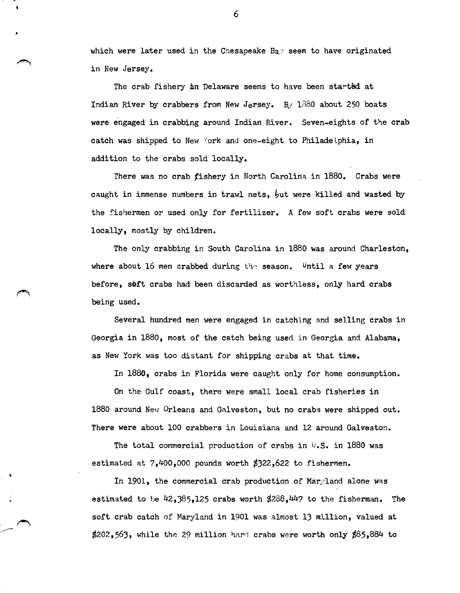which were later used in the Chesapeake Bay seem to have originated in New Jersey.

The crab fishery in Delaware seems to have been started at Indian River by crabbers from New Jersey. By  $1880$  about 250 boats were engaged in crabbing around Indian River. Seven-eights of the crab catch was shipped to New York and one-eight to Philadelphia, in addition to the crabs sold locally.

There was no crab fishery in North Carolina in 1880. Crabs were caught in immense numbers in trawl nets,  $\frac{1}{2}$ ut were killed and wasted by the fishermen or used only for fertilizer. A few soft crabs were sold locally, mostly by children.

The only crabbing in South Carolina in 1880 was around Charleston, where about 16 men crabbed during the season. Until a few years before, soft crabs had been discarded as worthless, only hard crabs being used.

Several hundred men were engaged in catching and selling crabs in Georgia in 1880, most of the catch being used in Georgia and Alabama, as New York was too distant for shipping crabs at that time.

In 1886, crabs in Florida were caught only for home consumption.

On the Gulf coast, there were small local crab fisheries in 1880 around New Orleans and Galveston, but no crabs were shipped out. There were about 100 crabbers in Louisiana and 12 around Galveston.

The total commercial production of crabs in  $\mathbb{U}$ .S. in 1880 was estimated at  $7,400,000$  pounds worth  $$322,622$  to fishermen.

In 1901, the commercial crab production of Maryland alone was estimated to be  $42,385,125$  crabs worth  $$288,447$  to the fisherman. The soft crab catch of Maryland in 1901 was almost 13 million, valued at  $$202,563$ , while the 29 million hard crabs were worth only  $$85,884$  to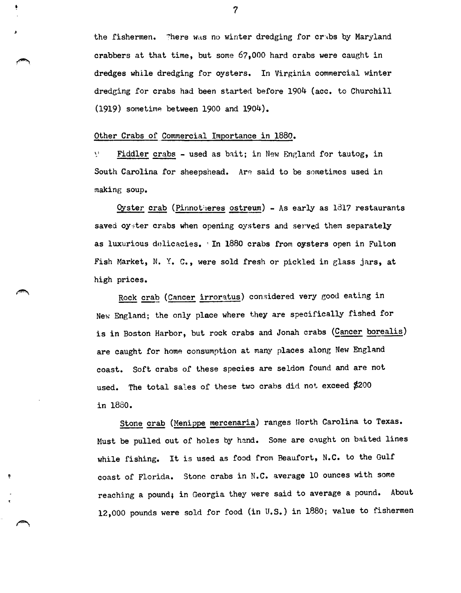the fishermen. There was no winter dredging for crabs by Maryland crabbers at that time, but some 67,000 hard crabs were caught in dredges while dredging for oysters. In Virginia commercial winter dredeing for crabs had been started before 1904 (acc. to Churchill  $(1919)$  sometime between 1900 and 1904).

#### Other Crabs of Commercial Importance in 1880.

\I Fiddler crabs - used as bait; in New England for tautog, in South Carolina for sheepshead. Are said to be sometimes used in making soup.

 $Oyster~crab$  (Pinnotheres ostreum) - As early as 1817 restaurants saved oyster crabs when opening oysters and served them separately as luxurious delicacies. In 1880 crabs from oysters open in Fulton Fish Market, N. Y. C., were sold fresh or pickled in glass jars, at high prices.

Rock crab (Cancer irroratus) considered very good eating in New England; the only place where they are specifically fished for is in Boston Harbor, but rock crabs and Jonah crabs (Cancer borealis) are caught for home consumption at many places along New England coast. Soft crabs of these species are seldom found and are not used. The total sales of these two crabs did not exceed  $$200$ in 1880.

Stone crab (Menippe mercenaria) ranges North Carolina to Texas. Must be pulled out of holes by hand. Some are caught on baited lines while fishing. It is used as food from Beaufort, N.C. to the Gulf coast of Florida. Stone crabs in N.C. average 10 ounces with some reaching a pound; in Georgia they were said to average a pound. About 12,000 pounds were sold for food (in U.S.) in 1880; value to fishermen